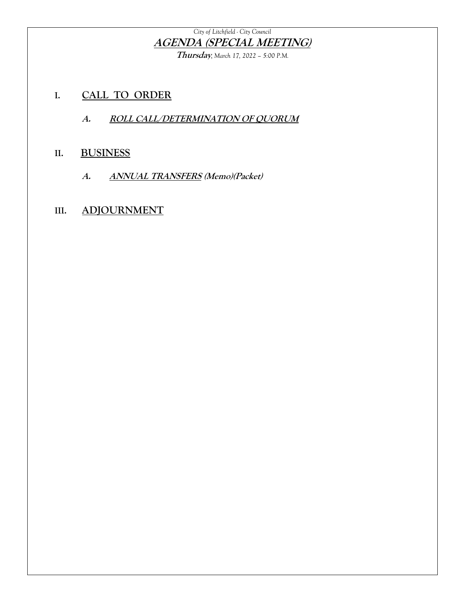#### *City of Litchfield - City Council* **AGENDA (SPECIAL MEETING)**

**Thursday***, March 17, 2022 – 5:00 P.M.*

- **I. CALL TO ORDER**
	- **A. ROLL CALL/DETERMINATION OF QUORUM**

#### **II. BUSINESS**

**A. ANNUAL TRANSFERS (Memo)(Packet)**

#### **III. ADJOURNMENT**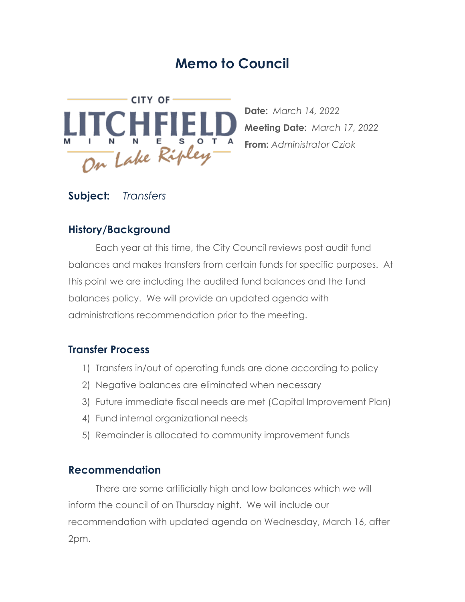## **Memo to Council**



**Date:** *March 14, 2022* **Meeting Date:** *March 17, 2022* **From:** *Administrator Cziok*

#### **Subject:** *Transfers*

#### **History/Background**

Each year at this time, the City Council reviews post audit fund balances and makes transfers from certain funds for specific purposes. At this point we are including the audited fund balances and the fund balances policy. We will provide an updated agenda with administrations recommendation prior to the meeting.

#### **Transfer Process**

- 1) Transfers in/out of operating funds are done according to policy
- 2) Negative balances are eliminated when necessary
- 3) Future immediate fiscal needs are met (Capital Improvement Plan)
- 4) Fund internal organizational needs
- 5) Remainder is allocated to community improvement funds

#### **Recommendation**

There are some artificially high and low balances which we will inform the council of on Thursday night. We will include our recommendation with updated agenda on Wednesday, March 16, after 2pm.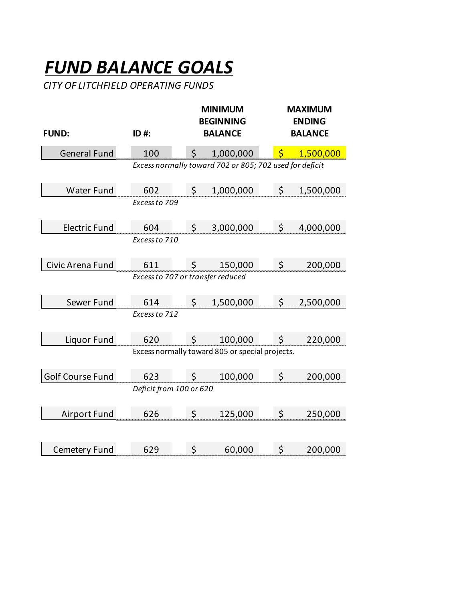# *FUND BALANCE GOALS*

*CITY OF LITCHFIELD OPERATING FUNDS*

| <b>FUND:</b>         | ID #:                                                   |  |    | <b>MINIMUM</b><br><b>BEGINNING</b><br><b>BALANCE</b> | <b>MAXIMUM</b><br><b>ENDING</b><br><b>BALANCE</b> |              |           |  |  |  |  |
|----------------------|---------------------------------------------------------|--|----|------------------------------------------------------|---------------------------------------------------|--------------|-----------|--|--|--|--|
| <b>General Fund</b>  | 100                                                     |  | \$ | 1,000,000                                            |                                                   | $\mathsf{S}$ | 1,500,000 |  |  |  |  |
|                      | Excess normally toward 702 or 805; 702 used for deficit |  |    |                                                      |                                                   |              |           |  |  |  |  |
| <b>Water Fund</b>    | 602                                                     |  | \$ | 1,000,000                                            |                                                   | \$           | 1,500,000 |  |  |  |  |
|                      | Excess to 709                                           |  |    |                                                      |                                                   |              |           |  |  |  |  |
| <b>Electric Fund</b> | 604                                                     |  | \$ | 3,000,000                                            |                                                   | \$           | 4,000,000 |  |  |  |  |
|                      | Excess to 710                                           |  |    |                                                      |                                                   |              |           |  |  |  |  |
| Civic Arena Fund     | 611                                                     |  | \$ | 150,000                                              |                                                   | \$           | 200,000   |  |  |  |  |
|                      | Excess to 707 or transfer reduced                       |  |    |                                                      |                                                   |              |           |  |  |  |  |
| Sewer Fund           | 614                                                     |  |    | 1,500,000                                            |                                                   | \$           | 2,500,000 |  |  |  |  |
|                      | Excess to 712                                           |  |    |                                                      |                                                   |              |           |  |  |  |  |
| Liquor Fund          | 620                                                     |  | \$ | 100,000                                              |                                                   | \$           | 220,000   |  |  |  |  |
|                      |                                                         |  |    | Excess normally toward 805 or special projects.      |                                                   |              |           |  |  |  |  |
| Golf Course Fund     | 623                                                     |  | \$ | 100,000                                              |                                                   | \$           | 200,000   |  |  |  |  |
|                      | Deficit from 100 or 620                                 |  |    |                                                      |                                                   |              |           |  |  |  |  |
| <b>Airport Fund</b>  | 626                                                     |  | \$ | 125,000                                              |                                                   | \$           | 250,000   |  |  |  |  |
|                      |                                                         |  |    |                                                      |                                                   |              |           |  |  |  |  |
| <b>Cemetery Fund</b> | 629                                                     |  | \$ | 60,000                                               |                                                   | \$           | 200,000   |  |  |  |  |